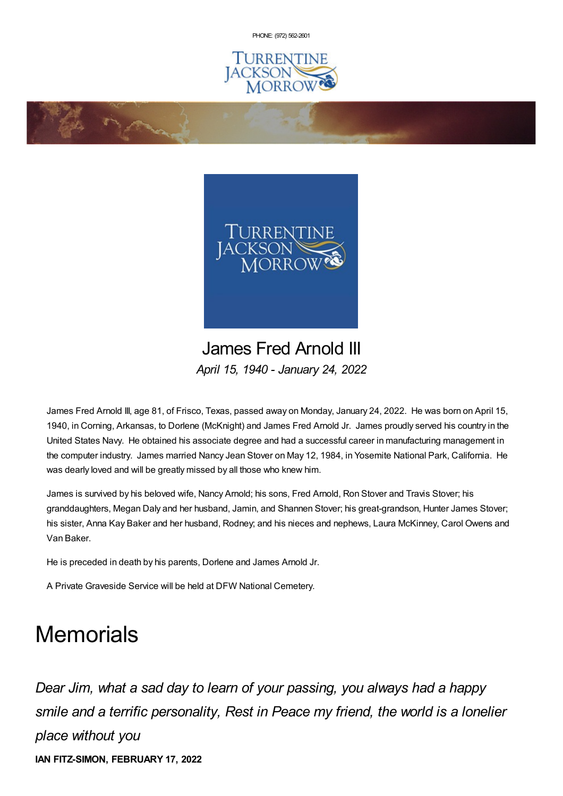PHONE: (972) [562-2601](tel:(972) 562-2601)





James Fred Arnold III *April 15, 1940 - January 24, 2022*

James Fred Arnold III, age 81, of Frisco, Texas, passed away on Monday, January 24, 2022. He was born on April 15, 1940, in Corning, Arkansas, to Dorlene (McKnight) and James Fred Arnold Jr. James proudly served his country in the United States Navy. He obtained his associate degree and had a successful career in manufacturing management in the computer industry. James married Nancy Jean Stover on May 12, 1984, in Yosemite National Park, California. He was dearly loved and will be greatly missed by all those who knew him.

James is survived by his beloved wife, Nancy Arnold; his sons, Fred Arnold, Ron Stover and Travis Stover; his granddaughters, Megan Daly and her husband, Jamin, and Shannen Stover; his great-grandson, Hunter James Stover; his sister, Anna Kay Baker and her husband, Rodney; and his nieces and nephews, Laura McKinney, Carol Owens and Van Baker.

He is preceded in death by his parents, Dorlene and James Arnold Jr.

**Change of Changes** 

A Private Graveside Service will be held at DFW National Cemetery.

## **Memorials**

*Dear Jim, what a sad day to learn of your passing, you always had a happy smile and a terrific personality, Rest in Peace my friend, the world is a lonelier place without you* **IAN FITZ-SIMON, FEBRUARY 17, 2022**